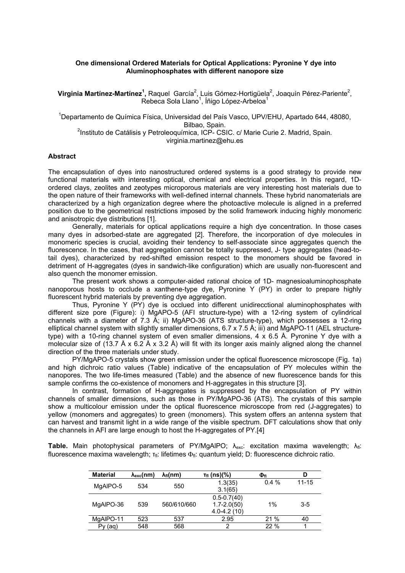## **One dimensional Ordered Materials for Optical Applications: Pyronine Y dye into Aluminophosphates with different nanopore size**

Virginia Martínez-Martínez<sup>1</sup>, Raquel García<sup>2</sup>, Luis Gómez-Hortigüela<sup>2</sup>, Joaquín Pérez-Pariente<sup>2</sup>, Rebeca Sola Llano<sup>1</sup>, Íñigo López-Arbeloa<sup>1</sup>

1 Departamento de Química Física, Universidad del País Vasco, UPV/EHU, Apartado 644, 48080, Bilbao, Spain.<br><sup>2</sup>Instituto de Catálisis y Petroleoquímica, ICP- CSIC. c/ Marie Curie 2. Madrid, Spain. virginia.martinez@ehu.es

## **Abstract**

The encapsulation of dyes into nanostructured ordered systems is a good strategy to provide new functional materials with interesting optical, chemical and electrical properties. In this regard, 1Dordered clays, zeolites and zeotypes microporous materials are very interesting host materials due to the open nature of their frameworks with well-defined internal channels. These hybrid nanomaterials are characterized by a high organization degree where the photoactive molecule is aligned in a preferred position due to the geometrical restrictions imposed by the solid framework inducing highly monomeric and anisotropic dye distributions [1].

Generally, materials for optical applications require a high dye concentration. In those cases many dyes in adsorbed-state are aggregated [2]. Therefore, the incorporation of dye molecules in monomeric species is crucial, avoiding their tendency to self-associate since aggregates quench the fluorescence. In the cases, that aggregation cannot be totally suppressed, J- type aggregates (head-totail dyes), characterized by red-shifted emission respect to the monomers should be favored in detriment of H-aggregates (dyes in sandwich-like configuration) which are usually non-fluorescent and also quench the monomer emission.

The present work shows a computer-aided rational choice of 1D- magnesioaluminophosphate nanoporous hosts to occlude a xanthene-type dye, Pyronine Y (PY) in order to prepare highly fluorescent hybrid materials by preventing dye aggregation.

Thus, Pyronine Y (PY) dye is occlued into different unidirecctional aluminophosphates with different size pore (Figure): i) MgAPO-5 (AFI structure-type) with a 12-ring system of cylindrical channels with a diameter of 7.3 Å; ii) MgAPO-36 (ATS structure-type), which possesses a 12-ring elliptical channel system with slightly smaller dimensions, 6.7 x 7.5 Å; iii) and MgAPO-11 (AEL structuretype) with a 10-ring channel system of even smaller dimensions, 4 x 6.5 Å. Pyronine Y dye with a molecular size of (13.7 Å x 6.2 Å x 3.2 Å) will fit with its longer axis mainly aligned along the channel direction of the three materials under study.

PY/MgAPO-5 crystals show green emission under the optical fluorescence microscope (Fig. 1a) and high dichroic ratio values (Table) indicative of the encapsulation of PY molecules within the nanopores. The two life-times measured (Table) and the absence of new fluorescence bands for this sample confirms the co-existence of monomers and H-aggregates in this structure [3].

In contrast, formation of H-aggregates is suppressed by the encapsulation of PY within channels of smaller dimensions, such as those in PY/MgAPO-36 (ATS). The crystals of this sample show a multicolour emission under the optical fluorescence microscope from red (J-aggregates) to yellow (monomers and aggregates) to green (monomers). This system offers an antenna system that can harvest and transmit light in a wide range of the visible spectrum. DFT calculations show that only the channels in AFI are large enough to host the H-aggregates of PY.[4]

**Table.** Main photophysical parameters of PY/MgAlPO;  $\lambda_{exc}$ : excitation maxima wavelength;  $\lambda_{fl}$ : fluorescence maxima wavelength;  $\tau_{\text{fl}}$ : lifetimes  $\Phi_{\text{fl}}$ : quantum yield; D: fluorescence dichroic ratio.

| <b>Material</b> | $\lambda_{\rm exc}(nm)$ | $\lambda_{\rm fl}$ (nm) | $T_{\rm fl}$ (ns)(%) | Φfι     | D         |
|-----------------|-------------------------|-------------------------|----------------------|---------|-----------|
| MgAIPO-5        | 534                     | 550                     | 1.3(35)              | $0.4\%$ | $11 - 15$ |
|                 |                         |                         | 3.1(65)              |         |           |
| MgAIPO-36       | 539                     | 560/610/660             | $0.5 - 0.7(40)$      |         |           |
|                 |                         |                         | $1.7 - 2.0(50)$      | 1%      | 3-5       |
|                 |                         |                         | $4.0 - 4.2(10)$      |         |           |
| MgAIPO-11       | 523                     | 537                     | 2.95                 | 21%     | 40        |
| Py (ag)         | 548                     | 568                     | 2                    | 22%     |           |